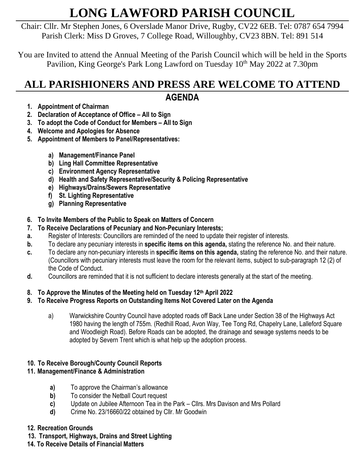# **LONG LAWFORD PARISH COUNCIL**

Chair: Cllr. Mr Stephen Jones, 6 Overslade Manor Drive, Rugby, CV22 6EB. Tel: 0787 654 7994 Parish Clerk: Miss D Groves, 7 College Road, Willoughby, CV23 8BN. Tel: 891 514

You are Invited to attend the Annual Meeting of the Parish Council which will be held in the Sports Pavilion, King George's Park Long Lawford on Tuesday 10th May 2022 at 7.30pm

# **ALL PARISHIONERS AND PRESS ARE WELCOME TO ATTEND AGENDA**

- **1. Appointment of Chairman**
- **2. Declaration of Acceptance of Office – All to Sign**
- **3. To adopt the Code of Conduct for Members – All to Sign**
- **4. Welcome and Apologies for Absence**
- **5. Appointment of Members to Panel/Representatives:**
	- **a) Management/Finance Panel**
	- **b) Ling Hall Committee Representative**
	- **c) Environment Agency Representative**
	- **d) Health and Safety Representative/Security & Policing Representative**
	- **e) Highways/Drains/Sewers Representative**
	- **f) St. Lighting Representative**
	- **g) Planning Representative**
- **6. To Invite Members of the Public to Speak on Matters of Concern**
- **7. To Receive Declarations of Pecuniary and Non-Pecuniary Interests;**
- **a.** Register of Interests: Councillors are reminded of the need to update their register of interests.
- **b.** To declare any pecuniary interests in **specific items on this agenda,** stating the reference No. and their nature.
- **c.** To declare any non-pecuniary interests in **specific items on this agenda,** stating the reference No. and their nature. (Councillors with pecuniary interests must leave the room for the relevant items, subject to sub-paragraph 12 (2) of the Code of Conduct.
- **d.** Councillors are reminded that it is not sufficient to declare interests generally at the start of the meeting.

# **8. To Approve the Minutes of the Meeting held on Tuesday 12th April 2022**

# **9. To Receive Progress Reports on Outstanding Items Not Covered Later on the Agenda**

a) Warwickshire Country Council have adopted roads off Back Lane under Section 38 of the Highways Act 1980 having the length of 755m. (Redhill Road, Avon Way, Tee Tong Rd, Chapelry Lane, Lalleford Square and Woodleigh Road). Before Roads can be adopted, the drainage and sewage systems needs to be adopted by Severn Trent which is what help up the adoption process.

# **10. To Receive Borough/County Council Reports**

# **11. Management/Finance & Administration**

- **a)** To approve the Chairman's allowance
- **b)** To consider the Netball Court request
- **c)** Update on Jubilee Afternoon Tea in the Park Cllrs. Mrs Davison and Mrs Pollard
- **d)** Crime No. 23/16660/22 obtained by Cllr. Mr Goodwin

### **12. Recreation Grounds**

- **13. Transport, Highways, Drains and Street Lighting**
- **14. To Receive Details of Financial Matters**